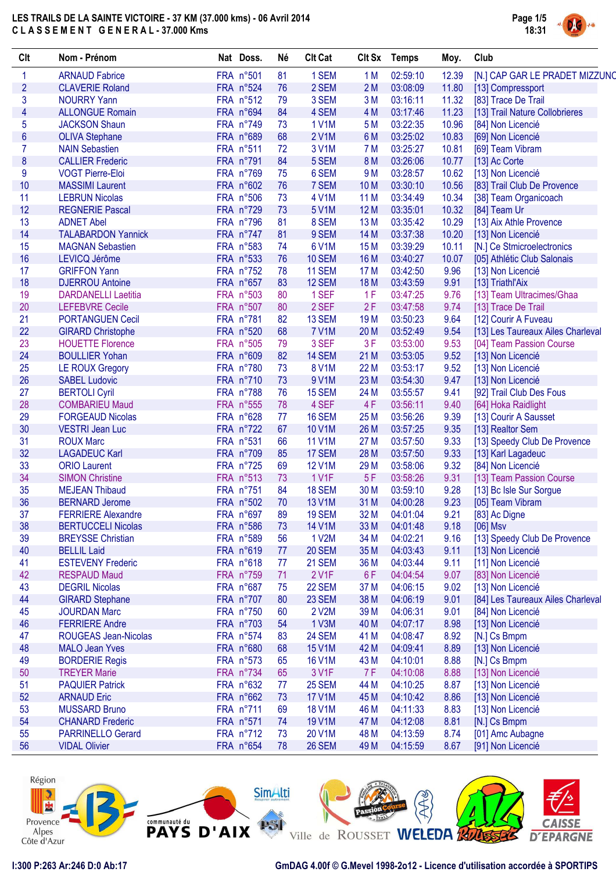

| Clt             | Nom - Prénom                | Nat Doss. | Né       | <b>Clt Cat</b> | Clt Sx          | <b>Temps</b> | Moy.  | Club                              |
|-----------------|-----------------------------|-----------|----------|----------------|-----------------|--------------|-------|-----------------------------------|
| 1               | <b>ARNAUD Fabrice</b>       | FRA n°501 | 81       | 1 SEM          | 1 M             | 02:59:10     | 12.39 | [N.] CAP GAR LE PRADET MIZZUNO    |
| $\overline{c}$  | <b>CLAVERIE Roland</b>      | FRA n°524 | 76       | 2 SEM          | 2M              | 03:08:09     | 11.80 | [13] Compressport                 |
| 3               | <b>NOURRY Yann</b>          | FRA n°512 | 79       | 3 SEM          | 3M              | 03:16:11     | 11.32 | [83] Trace De Trail               |
| 4               | <b>ALLONGUE Romain</b>      | FRA n°694 | 84       | 4 SEM          | 4 M             | 03:17:46     | 11.23 | [13] Trail Nature Collobrieres    |
| 5               | <b>JACKSON Shaun</b>        | FRA n°749 | 73       | <b>1 V1M</b>   | 5 M             | 03:22:35     | 10.96 | [84] Non Licencié                 |
| $6\phantom{1}6$ | <b>OLIVA Stephane</b>       | FRA n°689 | 68       | 2 V1M          | 6 M             | 03:25:02     | 10.83 | [69] Non Licencié                 |
| 7               | <b>NAIN Sebastien</b>       | FRA n°511 | 72       | 3 V1M          | 7 M             | 03:25:27     | 10.81 | [69] Team Vibram                  |
| 8               | <b>CALLIER Frederic</b>     | FRA n°791 | 84       | 5 SEM          | 8 M             | 03:26:06     | 10.77 | [13] Ac Corte                     |
| 9               | <b>VOGT Pierre-Eloi</b>     | FRA n°769 | 75       | 6 SEM          | 9 M             | 03:28:57     | 10.62 | [13] Non Licencié                 |
| 10              | <b>MASSIMI Laurent</b>      | FRA n°602 | 76       | 7 SEM          | 10 <sub>M</sub> | 03:30:10     | 10.56 | [83] Trail Club De Provence       |
| 11              | <b>LEBRUN Nicolas</b>       | FRA n°506 | 73       | <b>4 V1M</b>   | 11 M            | 03:34:49     | 10.34 | [38] Team Organicoach             |
| 12              | <b>REGNERIE Pascal</b>      | FRA n°729 | 73       | 5 V1M          | 12 M            | 03:35:01     | 10.32 | [84] Team Ur                      |
| 13              | <b>ADNET Abel</b>           | FRA n°796 | 81       | 8 SEM          | 13 M            | 03:35:42     | 10.29 | [13] Aix Athle Provence           |
| 14              | <b>TALABARDON Yannick</b>   | FRA n°747 | 81       | 9 SEM          | 14 M            | 03:37:38     | 10.20 | [13] Non Licencié                 |
| 15              | <b>MAGNAN Sebastien</b>     | FRA n°583 | 74       | 6 V1M          | 15 <sub>M</sub> | 03:39:29     | 10.11 | [N.] Ce Stmicroelectronics        |
| 16              | LEVICQ Jérôme               | FRA n°533 | 76       | <b>10 SEM</b>  | 16 M            | 03:40:27     | 10.07 | [05] Athlétic Club Salonais       |
| 17              | <b>GRIFFON Yann</b>         | FRA n°752 | 78       | 11 SEM         | 17 M            | 03:42:50     | 9.96  | [13] Non Licencié                 |
| 18              | <b>DJERROU Antoine</b>      | FRA n°657 | 83       | 12 SEM         | 18 M            | 03:43:59     | 9.91  | [13] Triathl'Aix                  |
| 19              | <b>DARDANELLI Laetitia</b>  | FRA n°503 | 80       | 1 SEF          | 1F              | 03:47:25     | 9.76  | [13] Team Ultracimes/Ghaa         |
| 20              |                             | FRA n°507 |          | 2 SEF          | 2F              | 03:47:58     | 9.74  |                                   |
| 21              | <b>LEFEBVRE Cecile</b>      | FRA n°781 | 80       | 13 SEM         |                 | 03:50:23     | 9.64  | [13] Trace De Trail               |
|                 | <b>PORTANGUEN Cecil</b>     | FRA n°520 | 82<br>68 | <b>7 V1M</b>   | 19 <sub>M</sub> | 03:52:49     |       | [12] Courir A Fuveau              |
| 22              | <b>GIRARD Christophe</b>    |           |          |                | 20 M            |              | 9.54  | [13] Les Taureaux Ailes Charleval |
| 23              | <b>HOUETTE Florence</b>     | FRA n°505 | 79       | 3 SEF          | 3F              | 03:53:00     | 9.53  | [04] Team Passion Course          |
| 24              | <b>BOULLIER Yohan</b>       | FRA n°609 | 82       | <b>14 SEM</b>  | 21 M            | 03:53:05     | 9.52  | [13] Non Licencié                 |
| 25              | <b>LE ROUX Gregory</b>      | FRA n°780 | 73       | <b>8 V1M</b>   | 22 M            | 03:53:17     | 9.52  | [13] Non Licencié                 |
| 26              | <b>SABEL Ludovic</b>        | FRA n°710 | 73       | 9 V1M          | 23 M            | 03:54:30     | 9.47  | [13] Non Licencié                 |
| 27              | <b>BERTOLI Cyril</b>        | FRA n°788 | 76       | 15 SEM         | 24 M            | 03:55:57     | 9.41  | [92] Trail Club Des Fous          |
| 28              | <b>COMBARIEU Maud</b>       | FRA n°555 | 78       | 4 SEF          | 4F              | 03:56:11     | 9.40  | [64] Hoka Raidlight               |
| 29              | <b>FORGEAUD Nicolas</b>     | FRA n°628 | 77       | 16 SEM         | 25 M            | 03:56:26     | 9.39  | [13] Courir A Sausset             |
| 30              | <b>VESTRI Jean Luc</b>      | FRA n°722 | 67       | <b>10 V1M</b>  | 26 M            | 03:57:25     | 9.35  | [13] Realtor Sem                  |
| 31              | <b>ROUX Marc</b>            | FRA n°531 | 66       | <b>11 V1M</b>  | 27 M            | 03:57:50     | 9.33  | [13] Speedy Club De Provence      |
| 32              | <b>LAGADEUC Karl</b>        | FRA n°709 | 85       | 17 SEM         | 28 M            | 03:57:50     | 9.33  | [13] Karl Lagadeuc                |
| 33              | <b>ORIO Laurent</b>         | FRA n°725 | 69       | <b>12 V1M</b>  | 29 M            | 03:58:06     | 9.32  | [84] Non Licencié                 |
| 34              | <b>SIMON Christine</b>      | FRA n°513 | 73       | 1 V1F          | 5F              | 03:58:26     | 9.31  | [13] Team Passion Course          |
| 35              | <b>MEJEAN Thibaud</b>       | FRA n°751 | 84       | 18 SEM         | 30 M            | 03:59:10     | 9.28  | [13] Bc Isle Sur Sorgue           |
| 36              | <b>BERNARD Jerome</b>       | FRA n°502 | 70       | <b>13 V1M</b>  | 31 M            | 04:00:28     | 9.23  | [05] Team Vibram                  |
| 37              | <b>FERRIERE Alexandre</b>   | FRA n°697 | 89       | 19 SEM         | 32 M            | 04:01:04     | 9.21  | [83] Ac Digne                     |
| 38              | <b>BERTUCCELI Nicolas</b>   | FRA n°586 | 73       | <b>14 V1M</b>  | 33 M            | 04:01:48     | 9.18  | $[06]$ Msv                        |
| 39              | <b>BREYSSE Christian</b>    | FRA n°589 | 56       | 1 V2M          | 34 M            | 04:02:21     | 9.16  | [13] Speedy Club De Provence      |
| 40              | <b>BELLIL Laid</b>          | FRA n°619 | 77       | <b>20 SEM</b>  | 35 M            | 04:03:43     | 9.11  | [13] Non Licencié                 |
| 41              | <b>ESTEVENY Frederic</b>    | FRA n°618 | 77       | 21 SEM         | 36 M            | 04:03:44     | 9.11  | [11] Non Licencié                 |
| 42              | <b>RESPAUD Maud</b>         | FRA n°759 | 71       | 2 V1F          | 6F              | 04:04:54     | 9.07  | [83] Non Licencié                 |
| 43              | <b>DEGRIL Nicolas</b>       | FRA n°687 | 75       | 22 SEM         | 37 M            | 04:06:15     | 9.02  | [13] Non Licencié                 |
| 44              | <b>GIRARD Stephane</b>      | FRA n°707 | 80       | 23 SEM         | 38 M            | 04:06:19     | 9.01  | [84] Les Taureaux Ailes Charleval |
| 45              | <b>JOURDAN Marc</b>         | FRA n°750 | 60       | 2 V2M          | 39 M            | 04:06:31     | 9.01  | [84] Non Licencié                 |
| 46              | <b>FERRIERE Andre</b>       | FRA n°703 | 54       | 1 V3M          | 40 M            | 04:07:17     | 8.98  | [13] Non Licencié                 |
| 47              | <b>ROUGEAS Jean-Nicolas</b> | FRA n°574 | 83       | 24 SEM         | 41 M            | 04:08:47     | 8.92  | [N.] Cs Bmpm                      |
| 48              | <b>MALO Jean Yves</b>       | FRA n°680 | 68       | <b>15 V1M</b>  | 42 M            | 04:09:41     | 8.89  | [13] Non Licencié                 |
| 49              | <b>BORDERIE Regis</b>       | FRA n°573 | 65       | <b>16 V1M</b>  | 43 M            | 04:10:01     | 8.88  | [N.] Cs Bmpm                      |
| 50              | <b>TREYER Marie</b>         | FRA n°734 | 65       | 3 V1F          | 7 F             | 04:10:08     | 8.88  | [13] Non Licencié                 |
| 51              | <b>PAQUIER Patrick</b>      | FRA n°632 | 77       | <b>25 SEM</b>  | 44 M            | 04:10:25     | 8.87  | [13] Non Licencié                 |
| 52              | <b>ARNAUD Eric</b>          | FRA n°662 | 73       | <b>17 V1M</b>  | 45 M            | 04:10:42     | 8.86  | [13] Non Licencié                 |
| 53              | <b>MUSSARD Bruno</b>        | FRA n°711 | 69       | <b>18 V1M</b>  | 46 M            | 04:11:33     | 8.83  | [13] Non Licencié                 |
| 54              | <b>CHANARD Frederic</b>     | FRA n°571 | 74       | <b>19 V1M</b>  | 47 M            | 04:12:08     | 8.81  |                                   |
|                 |                             |           |          |                |                 |              |       | [N.] Cs Bmpm                      |
| 55              | <b>PARRINELLO Gerard</b>    | FRA n°712 | 73       | 20 V1M         | 48 M            | 04:13:59     | 8.74  | [01] Amc Aubagne                  |
| 56              | <b>VIDAL Olivier</b>        | FRA n°654 | 78       | 26 SEM         | 49 M            | 04:15:59     | 8.67  | [91] Non Licencié                 |

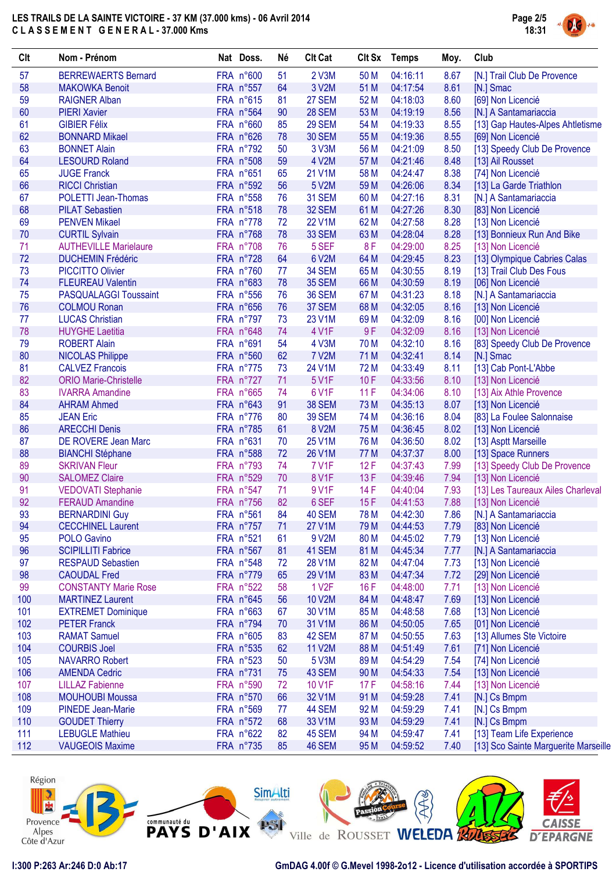

| Clt      | Nom - Prénom                                    | Nat Doss.              | Né       | <b>Clt Cat</b>         |                 | Clt Sx Temps         | Moy.         | Club                                               |
|----------|-------------------------------------------------|------------------------|----------|------------------------|-----------------|----------------------|--------------|----------------------------------------------------|
| 57       | <b>BERREWAERTS Bernard</b>                      | FRA n°600              | 51       | 2 V3M                  | 50 M            | 04:16:11             | 8.67         | [N.] Trail Club De Provence                        |
| 58       | <b>MAKOWKA Benoit</b>                           | FRA n°557              | 64       | 3 V2M                  | 51 M            | 04:17:54             | 8.61         | [N.] Smac                                          |
| 59       | <b>RAIGNER Alban</b>                            | FRA n°615              | 81       | 27 SEM                 | 52 M            | 04:18:03             | 8.60         | [69] Non Licencié                                  |
| 60       | <b>PIERI Xavier</b>                             | FRA n°564              | 90       | <b>28 SEM</b>          | 53 M            | 04:19:19             | 8.56         | [N.] A Santamariaccia                              |
| 61       | <b>GIBIER Félix</b>                             | FRA n°660              | 85       | <b>29 SEM</b>          | 54 M            | 04:19:33             | 8.55         | [13] Gap Hautes-Alpes Ahtletisme                   |
| 62       | <b>BONNARD Mikael</b>                           | FRA n°626              | 78       | <b>30 SEM</b>          | 55 M            | 04:19:36             | 8.55         | [69] Non Licencié                                  |
| 63       | <b>BONNET Alain</b>                             | FRA n°792              | 50       | 3 V3M                  | 56 M            | 04:21:09             | 8.50         | [13] Speedy Club De Provence                       |
| 64       | <b>LESOURD Roland</b>                           | FRA n°508              | 59       | 4 V2M                  | 57 M            | 04:21:46             | 8.48         | [13] Ail Rousset                                   |
| 65       | <b>JUGE Franck</b>                              | FRA n°651              | 65       | 21 V1M                 | 58 M            | 04:24:47             | 8.38         | [74] Non Licencié                                  |
| 66       | <b>RICCI Christian</b>                          | FRA n°592              | 56       | 5 V2M                  | 59 M            | 04:26:06             | 8.34         | [13] La Garde Triathlon                            |
| 67       | <b>POLETTI Jean-Thomas</b>                      | FRA n°558              | 76       | 31 SEM                 | 60 M            | 04:27:16             | 8.31         | [N.] A Santamariaccia                              |
| 68       | <b>PILAT Sebastien</b>                          | FRA n°518              | 78       | 32 SEM                 | 61 M            | 04:27:26             | 8.30         | [83] Non Licencié                                  |
| 69       | <b>PENVEN Mikael</b>                            | FRA n°778              | 72       | <b>22 V1M</b>          | 62 M            | 04:27:58             | 8.28         | [13] Non Licencié                                  |
| $70$     | <b>CURTIL Sylvain</b>                           | FRA n°768              | 78       | 33 SEM                 | 63 M            | 04:28:04             | 8.28         | [13] Bonnieux Run And Bike                         |
| 71       | <b>AUTHEVILLE Marielaure</b>                    | FRA n°708              | 76       | 5 SEF                  | 8F              | 04:29:00             | 8.25         | [13] Non Licencié                                  |
| 72       | <b>DUCHEMIN Frédéric</b>                        | FRA n°728              | 64       | 6 V2M                  | 64 M            | 04:29:45             | 8.23         | [13] Olympique Cabries Calas                       |
| 73       | <b>PICCITTO Olivier</b>                         | FRA n°760              | 77       | <b>34 SEM</b>          | 65 M            | 04:30:55             | 8.19         | [13] Trail Club Des Fous                           |
| 74       | <b>FLEUREAU Valentin</b>                        | FRA n°683              | 78       | <b>35 SEM</b>          | 66 M            | 04:30:59             | 8.19         | [06] Non Licencié                                  |
| 75       | <b>PASQUALAGGI Toussaint</b>                    | FRA n°556              | 76       | <b>36 SEM</b>          | 67 M            | 04:31:23             | 8.18         | [N.] A Santamariaccia                              |
| 76       | <b>COLMOU Ronan</b>                             | FRA n°656              | 76       | 37 SEM                 | 68 M            | 04:32:05             | 8.16         | [13] Non Licencié                                  |
| 77       | <b>LUCAS Christian</b>                          | FRA n°797              | 73       | 23 V1M                 | 69 <sub>M</sub> | 04:32:09             | 8.16         | [00] Non Licencié                                  |
| 78       | <b>HUYGHE Laetitia</b>                          | FRA n°648              | 74       | 4 V1F                  | 9F              | 04:32:09             | 8.16         | [13] Non Licencié                                  |
| 79       | <b>ROBERT Alain</b>                             | FRA n°691              | 54       | 4 V3M                  | 70 M            | 04:32:10             | 8.16         | [83] Speedy Club De Provence                       |
| 80       | <b>NICOLAS Philippe</b>                         | FRA n°560              | 62       | <b>7 V2M</b>           | 71 M            | 04:32:41             | 8.14         | [N.] Smac                                          |
| 81       | <b>CALVEZ Francois</b>                          | FRA n°775              | 73       | 24 V1M                 | 72 M            | 04:33:49             | 8.11         | [13] Cab Pont-L'Abbe                               |
| 82       | <b>ORIO Marie-Christelle</b>                    | FRA n°727              | 71       | 5 V1F                  | 10F             | 04:33:56             | 8.10         | [13] Non Licencié                                  |
| 83       | <b>IVARRA Amandine</b>                          | FRA n°665              | 74       | 6 V1F                  | 11F             | 04:34:06             | 8.10         | [13] Aix Athle Provence                            |
| 84       | <b>AHRAM Ahmed</b>                              | FRA n°643              | 91       | <b>38 SEM</b>          | 73 M            | 04:35:13             | 8.07         | [13] Non Licencié                                  |
| 85       | <b>JEAN Eric</b>                                | FRA n°776              | 80       | <b>39 SEM</b>          | 74 M            | 04:36:16             | 8.04         | [83] La Foulee Salonnaise                          |
| 86<br>87 | <b>ARECCHI Denis</b>                            | FRA n°785              | 61<br>70 | 8 V2M<br><b>25 V1M</b> | 75 M            | 04:36:45             | 8.02<br>8.02 | [13] Non Licencié                                  |
| 88       | DE ROVERE Jean Marc                             | FRA n°631<br>FRA n°588 | 72       | <b>26 V1M</b>          | 76 M<br>77 M    | 04:36:50<br>04:37:37 | 8.00         | [13] Asptt Marseille                               |
| 89       | <b>BIANCHI Stéphane</b><br><b>SKRIVAN Fleur</b> | FRA n°793              | 74       | <b>7 V1F</b>           | 12F             | 04:37:43             | 7.99         | [13] Space Runners<br>[13] Speedy Club De Provence |
| 90       | <b>SALOMEZ Claire</b>                           | FRA n°529              | 70       | 8 V1F                  | 13F             | 04:39:46             | 7.94         | [13] Non Licencié                                  |
| 91       | <b>VEDOVATI Stephanie</b>                       | FRA n°547              | 71       | 9 V1F                  | 14 F            | 04:40:04             | 7.93         | [13] Les Taureaux Ailes Charleval                  |
| 92       | <b>FERAUD Amandine</b>                          | FRA n°756              | 82       | 6 SEF                  | 15F             | 04:41:53             | 7.88         | [13] Non Licencié                                  |
| 93       | <b>BERNARDINI Guy</b>                           | FRA n°561              | 84       | 40 SEM                 | <b>78 M</b>     | 04:42:30             | 7.86         | [N.] A Santamariaccia                              |
| 94       | <b>CECCHINEL Laurent</b>                        | FRA n°757              | 71       | <b>27 V1M</b>          | 79 M            | 04:44:53             | 7.79         | [83] Non Licencié                                  |
| 95       | POLO Gavino                                     | FRA n°521              | 61       | 9 V2M                  | 80 M            | 04:45:02             | 7.79         | [13] Non Licencié                                  |
| 96       | <b>SCIPILLITI Fabrice</b>                       | FRA n°567              | 81       | 41 SEM                 | 81 M            | 04:45:34             | 7.77         | [N.] A Santamariaccia                              |
| 97       | <b>RESPAUD Sebastien</b>                        | FRA n°548              | 72       | <b>28 V1M</b>          | 82 M            | 04:47:04             | 7.73         | [13] Non Licencié                                  |
| 98       | <b>CAOUDAL Fred</b>                             | FRA n°779              | 65       | 29 V1M                 | 83 M            | 04:47:34             | 7.72         | [29] Non Licencié                                  |
| 99       | <b>CONSTANTY Marie Rose</b>                     | FRA n°522              | 58       | 1 V <sub>2</sub> F     | 16F             | 04:48:00             | 7.71         | [13] Non Licencié                                  |
| 100      | <b>MARTINEZ Laurent</b>                         | FRA n°645              | 56       | <b>10 V2M</b>          | 84 M            | 04:48:47             | 7.69         | [13] Non Licencié                                  |
| 101      | <b>EXTREMET Dominique</b>                       | FRA n°663              | 67       | 30 V1M                 | 85 M            | 04:48:58             | 7.68         | [13] Non Licencié                                  |
| 102      | <b>PETER Franck</b>                             | FRA n°794              | 70       | 31 V1M                 | 86 M            | 04:50:05             | 7.65         | [01] Non Licencié                                  |
| 103      | <b>RAMAT Samuel</b>                             | FRA n°605              | 83       | 42 SEM                 | 87 M            | 04:50:55             | 7.63         | [13] Allumes Ste Victoire                          |
| 104      | <b>COURBIS Joel</b>                             | FRA n°535              | 62       | 11 V2M                 | 88 M            | 04:51:49             | 7.61         | [71] Non Licencié                                  |
| 105      | <b>NAVARRO Robert</b>                           | FRA n°523              | 50       | 5 V3M                  | 89 M            | 04:54:29             | 7.54         | [74] Non Licencié                                  |
| 106      | <b>AMENDA Cedric</b>                            | FRA n°731              | 75       | 43 SEM                 | 90 M            | 04:54:33             | 7.54         | [13] Non Licencié                                  |
| 107      | <b>LILLAZ Fabienne</b>                          | FRA n°590              | 72       | 10 V1F                 | 17F             | 04:58:16             | 7.44         | [13] Non Licencié                                  |
| 108      | <b>MOUHOUBI Moussa</b>                          | FRA n°570              | 66       | 32 V1M                 | 91 M            | 04:59:28             | 7.41         | [N.] Cs Bmpm                                       |
| 109      | <b>PINEDE Jean-Marie</b>                        | FRA n°569              | 77       | 44 SEM                 | 92 M            | 04:59:29             | 7.41         | [N.] Cs Bmpm                                       |
| 110      | <b>GOUDET Thierry</b>                           | FRA n°572              | 68       | 33 V1M                 | 93 M            | 04:59:29             | 7.41         | [N.] Cs Bmpm                                       |
| 111      | <b>LEBUGLE Mathieu</b>                          | FRA n°622              | 82       | 45 SEM                 | 94 M            | 04:59:47             | 7.41         | [13] Team Life Experience                          |
| 112      | <b>VAUGEOIS Maxime</b>                          | FRA n°735              | 85       | <b>46 SEM</b>          | 95 M            | 04:59:52             | 7.40         | [13] Sco Sainte Marguerite Marseille               |

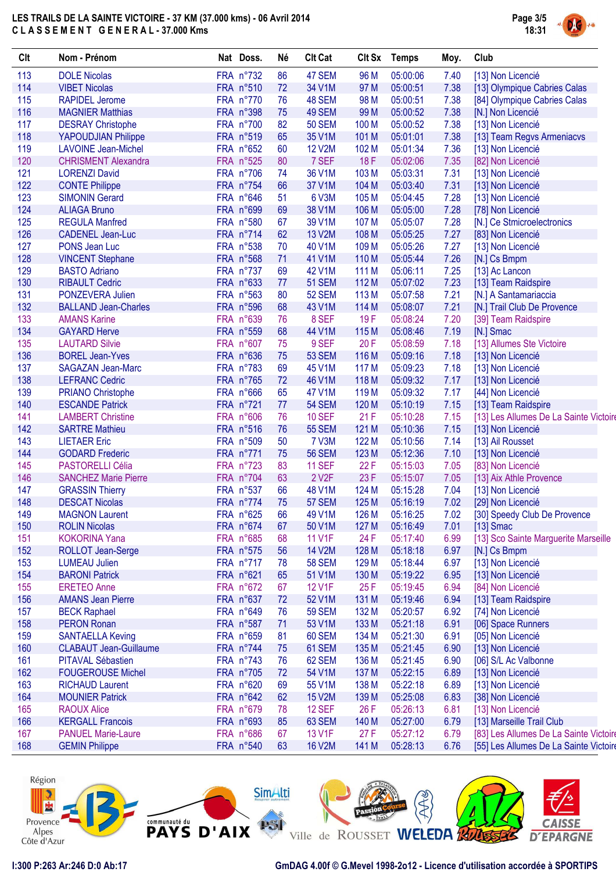

| Clt | Nom - Prénom                  | Nat Doss. | Né | <b>Clt Cat</b>     | <b>Clt Sx</b>    | <b>Temps</b> | Moy. | Club                                   |
|-----|-------------------------------|-----------|----|--------------------|------------------|--------------|------|----------------------------------------|
| 113 | <b>DOLE Nicolas</b>           | FRA n°732 | 86 | 47 SEM             | 96 M             | 05:00:06     | 7.40 | [13] Non Licencié                      |
| 114 | <b>VIBET Nicolas</b>          | FRA n°510 | 72 | 34 V1M             | 97 M             | 05:00:51     | 7.38 | [13] Olympique Cabries Calas           |
| 115 | <b>RAPIDEL Jerome</b>         | FRA n°770 | 76 | 48 SEM             | 98 M             | 05:00:51     | 7.38 | [84] Olympique Cabries Calas           |
| 116 | <b>MAGNIER Matthias</b>       | FRA n°398 | 75 | 49 SEM             | 99 M             | 05:00:52     | 7.38 | [N.] Non Licencié                      |
| 117 | <b>DESRAY Christophe</b>      | FRA n°700 | 82 | <b>50 SEM</b>      | 100 M            | 05:00:52     | 7.38 | [13] Non Licencié                      |
| 118 | YAPOUDJIAN Philippe           | FRA n°519 | 65 | 35 V1M             | 101 M            | 05:01:01     | 7.38 | [13] Team Regvs Armeniacvs             |
| 119 | <b>LAVOINE Jean-Michel</b>    | FRA n°652 | 60 | <b>12 V2M</b>      | 102 M            | 05:01:34     | 7.36 | [13] Non Licencié                      |
| 120 | <b>CHRISMENT Alexandra</b>    | FRA n°525 | 80 | 7 SEF              | 18F              | 05:02:06     | 7.35 | [82] Non Licencié                      |
| 121 | <b>LORENZI David</b>          | FRA n°706 | 74 | 36 V1M             | 103 M            | 05:03:31     | 7.31 | [13] Non Licencié                      |
| 122 | <b>CONTE Philippe</b>         | FRA n°754 | 66 | 37 V1M             | 104 M            | 05:03:40     | 7.31 | [13] Non Licencié                      |
| 123 | <b>SIMONIN Gerard</b>         | FRA n°646 | 51 | 6 V3M              | 105 M            | 05:04:45     | 7.28 | [13] Non Licencié                      |
| 124 | <b>ALIAGA Bruno</b>           | FRA n°699 | 69 | 38 V1M             | 106 M            | 05:05:00     | 7.28 | [78] Non Licencié                      |
| 125 | <b>REGULA Manfred</b>         | FRA n°580 | 67 | 39 V1M             | 107 M            | 05:05:07     | 7.28 | [N.] Ce Stmicroelectronics             |
| 126 | <b>CADENEL Jean-Luc</b>       | FRA n°714 | 62 | 13 V2M             | 108 M            | 05:05:25     | 7.27 | [83] Non Licencié                      |
| 127 | PONS Jean Luc                 | FRA n°538 | 70 | 40 V1M             | 109 M            | 05:05:26     | 7.27 | [13] Non Licencié                      |
| 128 | <b>VINCENT Stephane</b>       | FRA n°568 | 71 | 41 V1M             | 110 M            | 05:05:44     | 7.26 | [N.] Cs Bmpm                           |
| 129 | <b>BASTO Adriano</b>          | FRA n°737 | 69 | 42 V1M             | 111 M            | 05:06:11     | 7.25 | [13] Ac Lancon                         |
| 130 | <b>RIBAULT Cedric</b>         | FRA n°633 | 77 | <b>51 SEM</b>      | 112 M            | 05:07:02     | 7.23 | [13] Team Raidspire                    |
| 131 | PONZEVERA Julien              | FRA n°563 | 80 | <b>52 SEM</b>      | 113 M            | 05:07:58     | 7.21 | [N.] A Santamariaccia                  |
| 132 | <b>BALLAND Jean-Charles</b>   | FRA n°596 | 68 | 43 V1M             | 114 M            | 05:08:07     | 7.21 | [N.] Trail Club De Provence            |
| 133 | <b>AMANS Karine</b>           | FRA n°639 | 76 | 8 SEF              | 19F              | 05:08:24     | 7.20 | [39] Team Raidspire                    |
| 134 | <b>GAYARD Herve</b>           | FRA n°559 | 68 | 44 V1M             | 115 M            | 05:08:46     | 7.19 | [N.] Smac                              |
| 135 | <b>LAUTARD Silvie</b>         | FRA n°607 | 75 | 9 SEF              | 20F              | 05:08:59     | 7.18 | [13] Allumes Ste Victoire              |
| 136 | <b>BOREL Jean-Yves</b>        | FRA n°636 | 75 | <b>53 SEM</b>      | 116 M            | 05:09:16     | 7.18 | [13] Non Licencié                      |
| 137 |                               | FRA n°783 | 69 | 45 V1M             | 117 M            | 05:09:23     | 7.18 |                                        |
|     | <b>SAGAZAN Jean-Marc</b>      |           |    |                    |                  |              |      | [13] Non Licencié                      |
| 138 | <b>LEFRANC Cedric</b>         | FRA n°765 | 72 | 46 V1M             | 118 M            | 05:09:32     | 7.17 | [13] Non Licencié                      |
| 139 | <b>PRIANO Christophe</b>      | FRA n°666 | 65 | 47 V1M             | 119 <sub>M</sub> | 05:09:32     | 7.17 | [44] Non Licencié                      |
| 140 | <b>ESCANDE Patrick</b>        | FRA n°721 | 77 | <b>54 SEM</b>      | 120 M            | 05:10:19     | 7.15 | [13] Team Raidspire                    |
| 141 | <b>LAMBERT Christine</b>      | FRA n°606 | 76 | <b>10 SEF</b>      | 21F              | 05:10:28     | 7.15 | [13] Les Allumes De La Sainte Victoire |
| 142 | <b>SARTRE Mathieu</b>         | FRA n°516 | 76 | <b>55 SEM</b>      | 121 M            | 05:10:36     | 7.15 | [13] Non Licencié                      |
| 143 | <b>LIETAER Eric</b>           | FRA n°509 | 50 | 7 V3M              | 122 M            | 05:10:56     | 7.14 | [13] Ail Rousset                       |
| 144 | <b>GODARD Frederic</b>        | FRA n°771 | 75 | <b>56 SEM</b>      | 123 M            | 05:12:36     | 7.10 | [13] Non Licencié                      |
| 145 | <b>PASTORELLI Célia</b>       | FRA n°723 | 83 | <b>11 SEF</b>      | 22F              | 05:15:03     | 7.05 | [83] Non Licencié                      |
| 146 | <b>SANCHEZ Marie Pierre</b>   | FRA n°704 | 63 | 2 V <sub>2</sub> F | 23 F             | 05:15:07     | 7.05 | [13] Aix Athle Provence                |
| 147 | <b>GRASSIN Thierry</b>        | FRA n°537 | 66 | 48 V1M             | 124 M            | 05:15:28     | 7.04 | [13] Non Licencié                      |
| 148 | <b>DESCAT Nicolas</b>         | FRA n°774 | 75 | 57 SEM             | 125 M            | 05:16:19     | 7.02 | [29] Non Licencié                      |
| 149 | <b>MAGNON Laurent</b>         | FRA n°625 | 66 | 49 V1M             | 126 M            | 05:16:25     | 7.02 | [30] Speedy Club De Provence           |
| 150 | <b>ROLIN Nicolas</b>          | FRA n°674 | 67 | 50 V1M             | 127 M            | 05:16:49     | 7.01 | $[13]$ Smac                            |
| 151 | <b>KOKORINA Yana</b>          | FRA n°685 | 68 | <b>11 V1F</b>      | 24 F             | 05:17:40     | 6.99 | [13] Sco Sainte Marguerite Marseille   |
| 152 | ROLLOT Jean-Serge             | FRA n°575 | 56 | 14 V2M             | 128 M            | 05:18:18     | 6.97 | [N.] Cs Bmpm                           |
| 153 | <b>LUMEAU Julien</b>          | FRA n°717 | 78 | <b>58 SEM</b>      | 129 M            | 05:18:44     | 6.97 | [13] Non Licencié                      |
| 154 | <b>BARONI Patrick</b>         | FRA n°621 | 65 | 51 V1M             | 130 M            | 05:19:22     | 6.95 | [13] Non Licencié                      |
| 155 | <b>ERETEO Anne</b>            | FRA n°672 | 67 | <b>12 V1F</b>      | 25F              | 05:19:45     | 6.94 | [84] Non Licencié                      |
| 156 | <b>AMANS Jean Pierre</b>      | FRA n°637 | 72 | 52 V1M             | 131 M            | 05:19:46     | 6.94 | [13] Team Raidspire                    |
| 157 | <b>BECK Raphael</b>           | FRA n°649 | 76 | <b>59 SEM</b>      | 132 M            | 05:20:57     | 6.92 | [74] Non Licencié                      |
| 158 | <b>PERON Ronan</b>            | FRA n°587 | 71 | 53 V1M             | 133 M            | 05:21:18     | 6.91 | [06] Space Runners                     |
| 159 | <b>SANTAELLA Keving</b>       | FRA n°659 | 81 | 60 SEM             | 134 M            | 05:21:30     | 6.91 | [05] Non Licencié                      |
| 160 | <b>CLABAUT Jean-Guillaume</b> | FRA n°744 | 75 | 61 SEM             | 135 M            | 05:21:45     | 6.90 | [13] Non Licencié                      |
| 161 | PITAVAL Sébastien             | FRA n°743 | 76 | 62 SEM             | 136 M            | 05:21:45     | 6.90 | [06] S/L Ac Valbonne                   |
| 162 | <b>FOUGEROUSE Michel</b>      | FRA n°705 | 72 | 54 V1M             | 137 M            | 05:22:15     | 6.89 | [13] Non Licencié                      |
| 163 | <b>RICHAUD Laurent</b>        | FRA n°620 | 69 | 55 V1M             | 138 M            | 05:22:18     | 6.89 | [13] Non Licencié                      |
| 164 | <b>MOUNIER Patrick</b>        | FRA n°642 | 62 | <b>15 V2M</b>      | 139 M            | 05:25:08     | 6.83 | [38] Non Licencié                      |
| 165 | <b>RAOUX Alice</b>            | FRA n°679 | 78 | <b>12 SEF</b>      | 26 F             | 05:26:13     | 6.81 | [13] Non Licencié                      |
| 166 | <b>KERGALL Francois</b>       | FRA n°693 | 85 | 63 SEM             | 140 M            | 05:27:00     | 6.79 | [13] Marseille Trail Club              |
| 167 | <b>PANUEL Marie-Laure</b>     | FRA n°686 | 67 | 13 V1F             | 27F              | 05:27:12     | 6.79 | [83] Les Allumes De La Sainte Victoire |
| 168 | <b>GEMIN Philippe</b>         | FRA n°540 | 63 | <b>16 V2M</b>      | 141 M            | 05:28:13     | 6.76 | [55] Les Allumes De La Sainte Victoire |

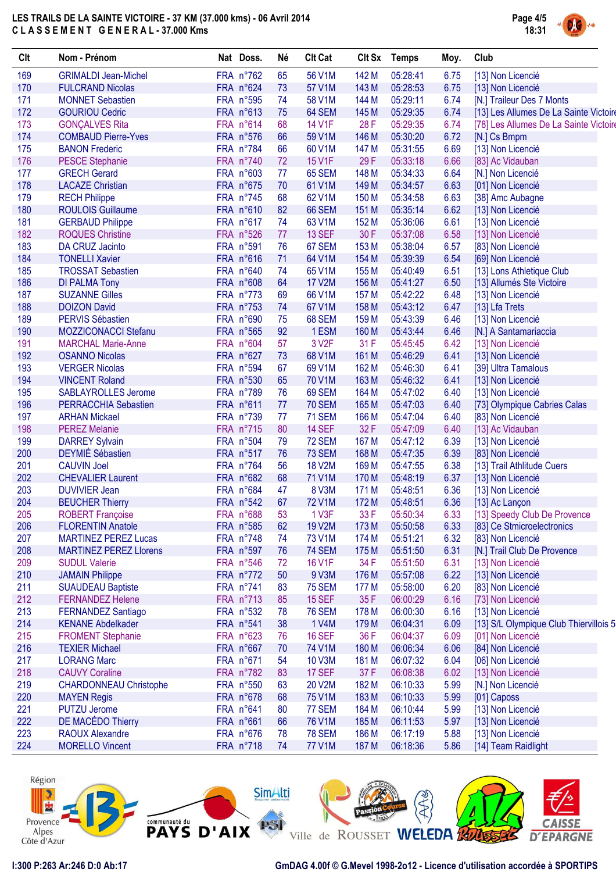

| Clt | Nom - Prénom                  | Nat Doss. | Né | <b>Clt Cat</b>     |       | Clt Sx Temps | Moy. | Club                                   |
|-----|-------------------------------|-----------|----|--------------------|-------|--------------|------|----------------------------------------|
| 169 | <b>GRIMALDI Jean-Michel</b>   | FRA n°762 | 65 | 56 V1M             | 142 M | 05:28:41     | 6.75 | [13] Non Licencié                      |
| 170 | <b>FULCRAND Nicolas</b>       | FRA n°624 | 73 | 57 V1M             | 143 M | 05:28:53     | 6.75 | [13] Non Licencié                      |
| 171 | <b>MONNET Sebastien</b>       | FRA n°595 | 74 | 58 V1M             | 144 M | 05:29:11     | 6.74 | [N.] Traileur Des 7 Monts              |
| 172 | <b>GOURIOU Cedric</b>         | FRA n°613 | 75 | 64 SEM             | 145 M | 05:29:35     | 6.74 | [13] Les Allumes De La Sainte Victoire |
| 173 | <b>GONÇALVES Rita</b>         | FRA n°614 | 68 | <b>14 V1F</b>      | 28F   | 05:29:35     | 6.74 | [78] Les Allumes De La Sainte Victoire |
| 174 | <b>COMBAUD Pierre-Yves</b>    | FRA n°576 | 66 | 59 V1M             | 146 M | 05:30:20     | 6.72 | [N.] Cs Bmpm                           |
| 175 | <b>BANON Frederic</b>         | FRA n°784 | 66 | 60 V1M             | 147 M | 05:31:55     | 6.69 | [13] Non Licencié                      |
| 176 | <b>PESCE Stephanie</b>        | FRA n°740 | 72 | 15 V1F             | 29F   | 05:33:18     | 6.66 | [83] Ac Vidauban                       |
| 177 | <b>GRECH Gerard</b>           | FRA n°603 | 77 | 65 SEM             | 148 M | 05:34:33     | 6.64 | [N.] Non Licencié                      |
| 178 | <b>LACAZE Christian</b>       | FRA n°675 | 70 | 61 V1M             | 149 M | 05:34:57     | 6.63 | [01] Non Licencié                      |
| 179 | <b>RECH Philippe</b>          | FRA n°745 | 68 | 62 V1M             | 150 M | 05:34:58     | 6.63 | [38] Amc Aubagne                       |
| 180 | <b>ROULOIS Guillaume</b>      | FRA n°610 | 82 | 66 SEM             | 151 M | 05:35:14     | 6.62 | [13] Non Licencié                      |
| 181 | <b>GERBAUD Philippe</b>       | FRA n°617 | 74 | 63 V1M             | 152 M | 05:36:06     | 6.61 | [13] Non Licencié                      |
| 182 | <b>ROQUES Christine</b>       | FRA n°526 | 77 | 13 SEF             | 30 F  | 05:37:08     | 6.58 | [13] Non Licencié                      |
| 183 | <b>DA CRUZ Jacinto</b>        | FRA n°591 | 76 | 67 SEM             | 153 M | 05:38:04     | 6.57 | [83] Non Licencié                      |
| 184 | <b>TONELLI Xavier</b>         | FRA n°616 | 71 | 64 V1M             | 154 M | 05:39:39     | 6.54 | [69] Non Licencié                      |
| 185 | <b>TROSSAT Sebastien</b>      | FRA n°640 | 74 | 65 V1M             | 155 M | 05:40:49     | 6.51 | [13] Lons Athletique Club              |
| 186 | <b>DI PALMA Tony</b>          | FRA n°608 | 64 | <b>17 V2M</b>      | 156 M | 05:41:27     | 6.50 | [13] Allumés Ste Victoire              |
| 187 | <b>SUZANNE Gilles</b>         | FRA n°773 | 69 | 66 V1M             | 157 M | 05:42:22     | 6.48 | [13] Non Licencié                      |
| 188 | <b>DOIZON David</b>           | FRA n°753 | 74 | 67 V1M             | 158 M | 05:43:12     | 6.47 | [13] Lfa Trets                         |
| 189 | <b>PERVIS Sébastien</b>       | FRA n°690 | 75 | 68 SEM             | 159 M | 05:43:39     | 6.46 | [13] Non Licencié                      |
| 190 | <b>MOZZICONACCI Stefanu</b>   | FRA n°565 | 92 | 1 ESM              | 160 M | 05:43:44     | 6.46 | [N.] A Santamariaccia                  |
| 191 | <b>MARCHAL Marie-Anne</b>     | FRA n°604 | 57 | 3 V <sub>2</sub> F | 31 F  | 05:45:45     | 6.42 | [13] Non Licencié                      |
| 192 | <b>OSANNO Nicolas</b>         | FRA n°627 | 73 | 68 V1M             | 161 M | 05:46:29     | 6.41 | [13] Non Licencié                      |
| 193 | <b>VERGER Nicolas</b>         | FRA n°594 | 67 | 69 V1M             | 162 M | 05:46:30     | 6.41 | [39] Ultra Tamalous                    |
| 194 | <b>VINCENT Roland</b>         | FRA n°530 | 65 | 70 V1M             | 163 M | 05:46:32     | 6.41 | [13] Non Licencié                      |
| 195 | <b>SABLAYROLLES Jerome</b>    | FRA n°789 | 76 | 69 SEM             | 164 M | 05:47:02     | 6.40 | [13] Non Licencié                      |
| 196 | PERRACCHIA Sebastien          | FRA n°611 | 77 | <b>70 SEM</b>      | 165 M | 05:47:03     | 6.40 | [73] Olympique Cabries Calas           |
| 197 | <b>ARHAN Mickael</b>          | FRA n°739 | 77 | <b>71 SEM</b>      | 166 M | 05:47:04     | 6.40 | [83] Non Licencié                      |
| 198 | <b>PEREZ Melanie</b>          | FRA n°715 | 80 | 14 SEF             | 32F   | 05:47:09     | 6.40 | [13] Ac Vidauban                       |
| 199 | <b>DARREY Sylvain</b>         | FRA n°504 | 79 | 72 SEM             | 167 M | 05:47:12     | 6.39 | [13] Non Licencié                      |
| 200 | <b>DEYMIÉ Sébastien</b>       | FRA n°517 | 76 | 73 SEM             | 168 M | 05:47:35     | 6.39 | [83] Non Licencié                      |
| 201 | <b>CAUVIN Joel</b>            | FRA n°764 | 56 | <b>18 V2M</b>      | 169 M | 05:47:55     | 6.38 | [13] Trail Athlitude Cuers             |
| 202 | <b>CHEVALIER Laurent</b>      | FRA n°682 | 68 | <b>71 V1M</b>      | 170 M | 05:48:19     | 6.37 | [13] Non Licencié                      |
| 203 | <b>DUVIVIER Jean</b>          | FRA n°684 | 47 | 8 V3M              | 171 M | 05:48:51     | 6.36 | [13] Non Licencié                      |
| 204 | <b>BEUCHER Thierry</b>        | FRA n°542 | 67 | <b>72 V1M</b>      | 172 M | 05:48:51     | 6.36 | [13] Ac Lançon                         |
| 205 | <b>ROBERT Françoise</b>       | FRA n°688 | 53 | 1 V3F              | 33 F  | 05:50:34     | 6.33 | [13] Speedy Club De Provence           |
| 206 | <b>FLORENTIN Anatole</b>      | FRA n°585 | 62 | <b>19 V2M</b>      | 173 M | 05:50:58     | 6.33 | [83] Ce Stmicroelectronics             |
| 207 | <b>MARTINEZ PEREZ Lucas</b>   | FRA n°748 | 74 | 73 V1M             | 174 M | 05:51:21     | 6.32 | [83] Non Licencié                      |
| 208 | <b>MARTINEZ PEREZ LIorens</b> | FRA n°597 | 76 | <b>74 SEM</b>      | 175 M | 05:51:50     | 6.31 | [N.] Trail Club De Provence            |
| 209 | <b>SUDUL Valerie</b>          | FRA n°546 | 72 | <b>16 V1F</b>      | 34 F  | 05:51:50     | 6.31 | [13] Non Licencié                      |
| 210 | <b>JAMAIN Philippe</b>        | FRA n°772 | 50 | 9 V3M              | 176 M | 05:57:08     | 6.22 | [13] Non Licencié                      |
| 211 | <b>SUAUDEAU Baptiste</b>      | FRA n°741 | 83 | <b>75 SEM</b>      | 177 M | 05:58:00     | 6.20 | [83] Non Licencié                      |
| 212 | <b>FERNANDEZ Helene</b>       | FRA n°713 | 85 | <b>15 SEF</b>      | 35F   | 06:00:29     | 6.16 | [73] Non Licencié                      |
| 213 | <b>FERNANDEZ Santiago</b>     | FRA n°532 | 78 | <b>76 SEM</b>      | 178 M | 06:00:30     | 6.16 | [13] Non Licencié                      |
| 214 | <b>KENANE Abdelkader</b>      | FRA n°541 | 38 | 1 V4M              | 179 M | 06:04:31     | 6.09 | [13] S/L Olympique Club Thiervillois 5 |
| 215 | <b>FROMENT Stephanie</b>      | FRA n°623 | 76 | <b>16 SEF</b>      | 36 F  | 06:04:37     | 6.09 | [01] Non Licencié                      |
| 216 | <b>TEXIER Michael</b>         | FRA n°667 | 70 | 74 V1M             | 180 M | 06:06:34     | 6.06 | [84] Non Licencié                      |
| 217 | <b>LORANG Marc</b>            | FRA n°671 | 54 | <b>10 V3M</b>      | 181 M | 06:07:32     | 6.04 | [06] Non Licencié                      |
| 218 | <b>CAUVY Coraline</b>         | FRA n°782 | 83 | 17 SEF             | 37 F  | 06:08:38     | 6.02 | [13] Non Licencié                      |
| 219 | <b>CHARDONNEAU Christophe</b> | FRA n°550 | 63 | 20 V2M             | 182 M | 06:10:33     | 5.99 | [N.] Non Licencié                      |
| 220 | <b>MAYEN Regis</b>            | FRA n°678 | 68 | <b>75 V1M</b>      | 183 M | 06:10:33     | 5.99 | [01] Caposs                            |
| 221 | <b>PUTZU Jerome</b>           | FRA n°641 | 80 | 77 SEM             | 184 M | 06:10:44     | 5.99 | [13] Non Licencié                      |
| 222 | DE MACÉDO Thierry             | FRA n°661 | 66 | <b>76 V1M</b>      | 185 M | 06:11:53     | 5.97 | [13] Non Licencié                      |
| 223 | <b>RAOUX Alexandre</b>        | FRA n°676 | 78 | <b>78 SEM</b>      | 186 M | 06:17:19     | 5.88 | [13] Non Licencié                      |
| 224 | <b>MORELLO Vincent</b>        | FRA n°718 | 74 | <b>77 V1M</b>      | 187 M | 06:18:36     | 5.86 | [14] Team Raidlight                    |
|     |                               |           |    |                    |       |              |      |                                        |